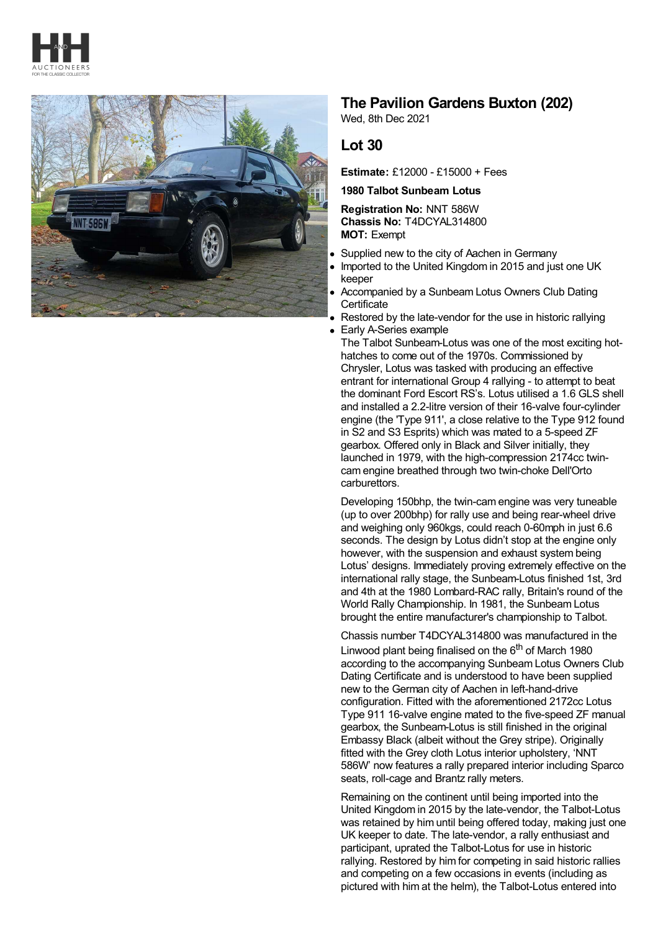



## **The Pavilion Gardens Buxton (202)**

Wed, 8th Dec 2021

## **Lot 30**

**Estimate:** £12000 - £15000 + Fees

**1980 Talbot Sunbeam Lotus**

**Registration No:** NNT 586W **Chassis No:** T4DCYAL314800 **MOT:** Exempt

- Supplied new to the city of Aachen in Germany
- Imported to the United Kingdom in 2015 and just one UK keeper
- Accompanied by a Sunbeam Lotus Owners Club Dating **Certificate**
- Restored by the late-vendor for the use in historic rallying

Early A-Series example The Talbot Sunbeam-Lotus was one of the most exciting hothatches to come out of the 1970s. Commissioned by Chrysler, Lotus was tasked with producing an effective entrant for international Group 4 rallying - to attempt to beat the dominant Ford Escort RS's. Lotus utilised a 1.6 GLS shell and installed a 2.2-litre version of their 16-valve four-cylinder engine (the 'Type 911', a close relative to the Type 912 found in S2 and S3 Esprits) which was mated to a 5-speed ZF gearbox. Offered only in Black and Silver initially, they launched in 1979, with the high-compression 2174cc twincam engine breathed through two twin-choke Dell'Orto carburettors.

Developing 150bhp, the twin-cam engine was very tuneable (up to over 200bhp) for rally use and being rear-wheel drive and weighing only 960kgs, could reach 0-60mph in just 6.6 seconds. The design by Lotus didn't stop at the engine only however, with the suspension and exhaust system being Lotus' designs. Immediately proving extremely effective on the international rally stage, the Sunbeam-Lotus finished 1st, 3rd and 4th at the 1980 Lombard-RAC rally, Britain's round of the World Rally Championship. In 1981, the Sunbeam Lotus brought the entire manufacturer's championship to Talbot.

Chassis number T4DCYAL314800 was manufactured in the Linwood plant being finalised on the 6<sup>th</sup> of March 1980 according to the accompanying Sunbeam Lotus Owners Club Dating Certificate and is understood to have been supplied new to the German city of Aachen in left-hand-drive configuration. Fitted with the aforementioned 2172cc Lotus Type 911 16-valve engine mated to the five-speed ZF manual gearbox, the Sunbeam-Lotus is still finished in the original Embassy Black (albeit without the Grey stripe). Originally fitted with the Grey cloth Lotus interior upholstery, 'NNT 586W' now features a rally prepared interior including Sparco seats, roll-cage and Brantz rally meters.

Remaining on the continent until being imported into the United Kingdom in 2015 by the late-vendor, the Talbot-Lotus was retained by him until being offered today, making just one UK keeper to date. The late-vendor, a rally enthusiast and participant, uprated the Talbot-Lotus for use in historic rallying. Restored by him for competing in said historic rallies and competing on a few occasions in events (including as pictured with him at the helm), the Talbot-Lotus entered into